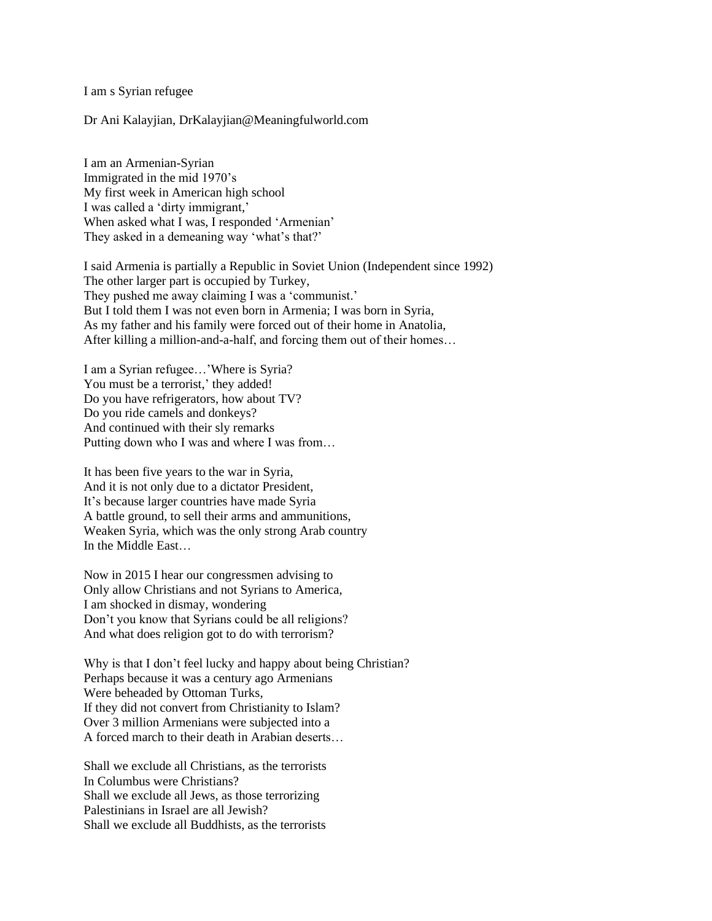I am s Syrian refugee

Dr Ani Kalayjian, DrKalayjian@Meaningfulworld.com

I am an Armenian-Syrian Immigrated in the mid 1970's My first week in American high school I was called a 'dirty immigrant,' When asked what I was, I responded 'Armenian' They asked in a demeaning way 'what's that?'

I said Armenia is partially a Republic in Soviet Union (Independent since 1992) The other larger part is occupied by Turkey, They pushed me away claiming I was a 'communist.' But I told them I was not even born in Armenia; I was born in Syria, As my father and his family were forced out of their home in Anatolia, After killing a million-and-a-half, and forcing them out of their homes…

I am a Syrian refugee…'Where is Syria? You must be a terrorist,' they added! Do you have refrigerators, how about TV? Do you ride camels and donkeys? And continued with their sly remarks Putting down who I was and where I was from…

It has been five years to the war in Syria, And it is not only due to a dictator President, It's because larger countries have made Syria A battle ground, to sell their arms and ammunitions, Weaken Syria, which was the only strong Arab country In the Middle East…

Now in 2015 I hear our congressmen advising to Only allow Christians and not Syrians to America, I am shocked in dismay, wondering Don't you know that Syrians could be all religions? And what does religion got to do with terrorism?

Why is that I don't feel lucky and happy about being Christian? Perhaps because it was a century ago Armenians Were beheaded by Ottoman Turks, If they did not convert from Christianity to Islam? Over 3 million Armenians were subjected into a A forced march to their death in Arabian deserts…

Shall we exclude all Christians, as the terrorists In Columbus were Christians? Shall we exclude all Jews, as those terrorizing Palestinians in Israel are all Jewish? Shall we exclude all Buddhists, as the terrorists